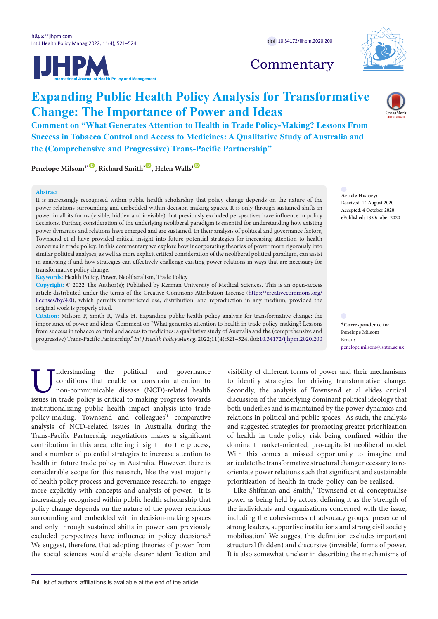





# **Commentary**

# **Expanding Public Health Policy Analysis for Transformative Change: The Importance of Power and Ideas**

**Comment on "What Generates Attention to Health in Trade Policy-Making? Lessons From Success in Tobacco Control and Access to Medicines: A Qualitative Study of Australia and the (Comprehensive and Progressive) Trans-Pacific Partnership"**

**Penelope Milsom<sup>1</sub><sup>[\\*](#page-0-0)</sup><sup>(0</sup>), Richard Smith<sup>2</sup><sup>(0</sup>), Helen Walls<sup>1</sup><sup>(0</sup>)**</sup>

## **Abstract**

It is increasingly recognised within public health scholarship that policy change depends on the nature of the power relations surrounding and embedded within decision-making spaces. It is only through sustained shifts in power in all its forms (visible, hidden and invisible) that previously excluded perspectives have influence in policy decisions. Further, consideration of the underlying neoliberal paradigm is essential for understanding how existing power dynamics and relations have emerged and are sustained. In their analysis of political and governance factors, Townsend et al have provided critical insight into future potential strategies for increasing attention to health concerns in trade policy. In this commentary we explore how incorporating theories of power more rigorously into similar political analyses, as well as more explicit critical consideration of the neoliberal political paradigm, can assist in analysing if and how strategies can effectively challenge existing power relations in ways that are necessary for transformative policy change.

**Keywords:** Health Policy, Power, Neoliberalism, Trade Policy

**Copyright:** © 2022 The Author(s); Published by Kerman University of Medical Sciences. This is an open-access article distributed under the terms of the Creative Commons Attribution License ([https://creativecommons.org/](https://creativecommons.org/licenses/by/4.0) [licenses/by/4.0](https://creativecommons.org/licenses/by/4.0)), which permits unrestricted use, distribution, and reproduction in any medium, provided the original work is properly cited.

**Citation:** Milsom P, Smith R, Walls H. Expanding public health policy analysis for transformative change: the importance of power and ideas: Comment on "What generates attention to health in trade policy-making? Lessons from success in tobacco control and access to medicines: a qualitative study of Australia and the (comprehensive and progressive) Trans-Pacific Partnership." *Int J Health Policy Manag.* 2022;11(4):521–524. doi[:10.34172/ijhpm.2020.200](https://doi.org/10.34172/ijhpm.2020.200)

Email: penelope.milsom@lshtm.ac.uk

<span id="page-0-0"></span>**\*Correspondence to:** Penelope Milsom

**Article History:** Received: 14 August 2020 Accepted: 4 October 2020 ePublished: 18 October 2020

Inderstanding the political and governance conditions that enable or constrain attention to non-communicable disease (NCD)-related health issues in trade policy is critical to making progress towards conditions that enable or constrain attention to non-communicable disease (NCD)-related health institutionalizing public health impact analysis into trade policy-making. Townsend and colleagues'1 comparative analysis of NCD-related issues in Australia during the Trans-Pacific Partnership negotiations makes a significant contribution in this area, offering insight into the process, and a number of potential strategies to increase attention to health in future trade policy in Australia. However, there is considerable scope for this research, like the vast majority of health policy process and governance research, to engage more explicitly with concepts and analysis of power. It is increasingly recognised within public health scholarship that policy change depends on the nature of the power relations surrounding and embedded within decision-making spaces and only through sustained shifts in power can previously excluded perspectives have influence in policy decisions.<sup>2</sup> We suggest, therefore, that adopting theories of power from the social sciences would enable clearer identification and

visibility of different forms of power and their mechanisms to identify strategies for driving transformative change. Secondly, the analysis of Townsend et al elides critical discussion of the underlying dominant political ideology that both underlies and is maintained by the power dynamics and relations in political and public spaces. As such, the analysis and suggested strategies for promoting greater prioritization of health in trade policy risk being confined within the dominant market-oriented, pro-capitalist neoliberal model. With this comes a missed opportunity to imagine and articulate the transformative structural change necessary to reorientate power relations such that significant and sustainable prioritization of health in trade policy can be realised.

Like Shiffman and Smith,<sup>3</sup> Townsend et al conceptualise power as being held by actors, defining it as the 'strength of the individuals and organisations concerned with the issue, including the cohesiveness of advocacy groups, presence of strong leaders, supportive institutions and strong civil society mobilisation.' We suggest this definition excludes important structural (hidden) and discursive (invisible) forms of power. It is also somewhat unclear in describing the mechanisms of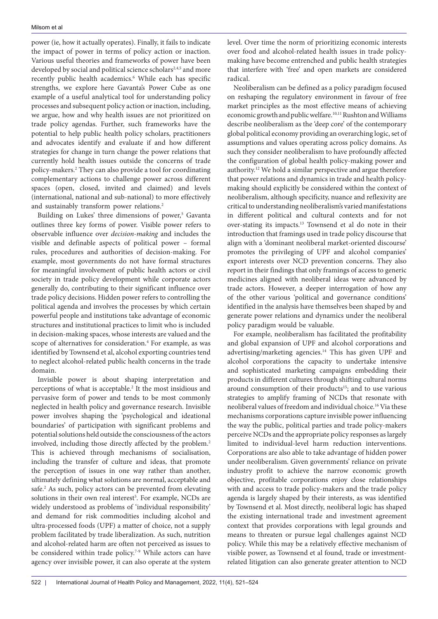power (ie, how it actually operates). Finally, it fails to indicate the impact of power in terms of policy action or inaction. Various useful theories and frameworks of power have been developed by social and political science scholars<sup>2,4,5</sup> and more recently public health academics.<sup>6</sup> While each has specific strengths, we explore here Gavanta's Power Cube as one example of a useful analytical tool for understanding policy processes and subsequent policy action or inaction, including, we argue, how and why health issues are not prioritized on trade policy agendas. Further, such frameworks have the potential to help public health policy scholars, practitioners and advocates identify and evaluate if and how different strategies for change in turn change the power relations that currently hold health issues outside the concerns of trade policy-makers.2 They can also provide a tool for coordinating complementary actions to challenge power across different spaces (open, closed, invited and claimed) and levels (international, national and sub-national) to more effectively and sustainably transform power relations.2

Building on Lukes' three dimensions of power,<sup>5</sup> Gavanta outlines three key forms of power. Visible power refers to observable influence over *decision-making* and includes the visible and definable aspects of political power – formal rules, procedures and authorities of decision-making. For example, most governments do not have formal structures for meaningful involvement of public health actors or civil society in trade policy development while corporate actors generally do, contributing to their significant influence over trade policy decisions. Hidden power refers to controlling the political agenda and involves the processes by which certain powerful people and institutions take advantage of economic structures and institutional practices to limit who is included in decision-making spaces, whose interests are valued and the scope of alternatives for consideration.<sup>4</sup> For example, as was identified by Townsend et al, alcohol exporting countries tend to neglect alcohol-related public health concerns in the trade domain.

Invisible power is about shaping interpretation and perceptions of what is acceptable.<sup>2</sup> It the most insidious and pervasive form of power and tends to be most commonly neglected in health policy and governance research. Invisible power involves shaping the 'psychological and ideational boundaries' of participation with significant problems and potential solutions held outside the consciousness of the actors involved, including those directly affected by the problem.2 This is achieved through mechanisms of socialisation, including the transfer of culture and ideas, that promote the perception of issues in one way rather than another, ultimately defining what solutions are normal, acceptable and safe.<sup>2</sup> As such, policy actors can be prevented from elevating solutions in their own real interest<sup>5</sup>. For example, NCDs are widely understood as problems of 'individual responsibility' and demand for risk commodities including alcohol and ultra-processed foods (UPF) a matter of choice, not a supply problem facilitated by trade liberalization. As such, nutrition and alcohol-related harm are often not perceived as issues to be considered within trade policy.<sup>7-9</sup> While actors can have agency over invisible power, it can also operate at the system

level. Over time the norm of prioritizing economic interests over food and alcohol-related health issues in trade policymaking have become entrenched and public health strategies that interfere with 'free' and open markets are considered radical.

Neoliberalism can be defined as a policy paradigm focused on reshaping the regulatory environment in favour of free market principles as the most effective means of achieving economic growth and public welfare.<sup>10,11</sup> Rushton and Williams describe neoliberalism as the 'deep core' of the contemporary global political economy providing an overarching logic, set of assumptions and values operating across policy domains. As such they consider neoliberalism to have profoundly affected the configuration of global health policy-making power and authority.12 We hold a similar perspective and argue therefore that power relations and dynamics in trade and health policymaking should explicitly be considered within the context of neoliberalism, although specificity, nuance and reflexivity are critical to understanding neoliberalism's varied manifestations in different political and cultural contexts and for not over-stating its impacts.13 Townsend et al do note in their introduction that framings used in trade policy discourse that align with a 'dominant neoliberal market-oriented discourse' promotes the privileging of UPF and alcohol companies' export interests over NCD prevention concerns. They also report in their findings that only framings of access to generic medicines aligned with neoliberal ideas were advanced by trade actors. However, a deeper interrogation of how any of the other various 'political and governance conditions' identified in the analysis have themselves been shaped by and generate power relations and dynamics under the neoliberal policy paradigm would be valuable.

For example, neoliberalism has facilitated the profitability and global expansion of UPF and alcohol corporations and advertising/marketing agencies.14 This has given UPF and alcohol corporations the capacity to undertake intensive and sophisticated marketing campaigns embedding their products in different cultures through shifting cultural norms around consumption of their products<sup>15</sup>; and to use various strategies to amplify framing of NCDs that resonate with neoliberal values of freedom and individual choice.16 Via these mechanisms corporations capture invisible power influencing the way the public, political parties and trade policy-makers perceive NCDs and the appropriate policy responses as largely limited to individual-level harm reduction interventions. Corporations are also able to take advantage of hidden power under neoliberalism. Given governments' reliance on private industry profit to achieve the narrow economic growth objective, profitable corporations enjoy close relationships with and access to trade policy-makers and the trade policy agenda is largely shaped by their interests, as was identified by Townsend et al. Most directly, neoliberal logic has shaped the existing international trade and investment agreement context that provides corporations with legal grounds and means to threaten or pursue legal challenges against NCD policy. While this may be a relatively effective mechanism of visible power, as Townsend et al found, trade or investmentrelated litigation can also generate greater attention to NCD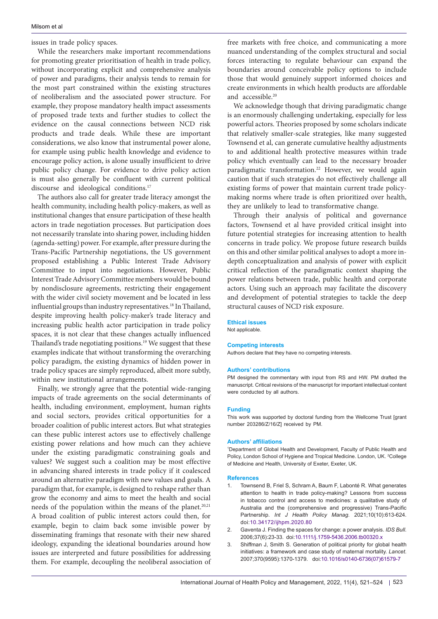# issues in trade policy spaces.

While the researchers make important recommendations for promoting greater prioritisation of health in trade policy, without incorporating explicit and comprehensive analysis of power and paradigms, their analysis tends to remain for the most part constrained within the existing structures of neoliberalism and the associated power structure. For example, they propose mandatory health impact assessments of proposed trade texts and further studies to collect the evidence on the causal connections between NCD risk products and trade deals. While these are important considerations, we also know that instrumental power alone, for example using public health knowledge and evidence to encourage policy action, is alone usually insufficient to drive public policy change. For evidence to drive policy action is must also generally be confluent with current political discourse and ideological conditions.<sup>17</sup>

The authors also call for greater trade literacy amongst the health community, including health policy-makers, as well as institutional changes that ensure participation of these health actors in trade negotiation processes. But participation does not necessarily translate into sharing power, including hidden (agenda-setting) power. For example, after pressure during the Trans-Pacific Partnership negotiations, the US government proposed establishing a Public Interest Trade Advisory Committee to input into negotiations. However, Public Interest Trade Advisory Committee members would be bound by nondisclosure agreements, restricting their engagement with the wider civil society movement and be located in less influential groups than industry representatives.<sup>18</sup> In Thailand, despite improving health policy-maker's trade literacy and increasing public health actor participation in trade policy spaces, it is not clear that these changes actually influenced Thailand's trade negotiating positions.<sup>19</sup> We suggest that these examples indicate that without transforming the overarching policy paradigm, the existing dynamics of hidden power in trade policy spaces are simply reproduced, albeit more subtly, within new institutional arrangements.

Finally, we strongly agree that the potential wide-ranging impacts of trade agreements on the social determinants of health, including environment, employment, human rights and social sectors, provides critical opportunities for a broader coalition of public interest actors. But what strategies can these public interest actors use to effectively challenge existing power relations and how much can they achieve under the existing paradigmatic constraining goals and values? We suggest such a coalition may be most effective in advancing shared interests in trade policy if it coalesced around an alternative paradigm with new values and goals. A paradigm that, for example, is designed to reshape rather than grow the economy and aims to meet the health and social needs of the population within the means of the planet.<sup>20,21</sup> A broad coalition of public interest actors could then, for example, begin to claim back some invisible power by disseminating framings that resonate with their new shared ideology, expanding the ideational boundaries around how issues are interpreted and future possibilities for addressing them. For example, decoupling the neoliberal association of

free markets with free choice, and communicating a more nuanced understanding of the complex structural and social forces interacting to regulate behaviour can expand the boundaries around conceivable policy options to include those that would genuinely support informed choices and create environments in which health products are affordable and accessible.20

We acknowledge though that driving paradigmatic change is an enormously challenging undertaking, especially for less powerful actors. Theories proposed by some scholars indicate that relatively smaller-scale strategies, like many suggested Townsend et al, can generate cumulative healthy adjustments to and additional health protective measures within trade policy which eventually can lead to the necessary broader paradigmatic transformation.<sup>22</sup> However, we would again caution that if such strategies do not effectively challenge all existing forms of power that maintain current trade policymaking norms where trade is often prioritized over health, they are unlikely to lead to transformative change.

Through their analysis of political and governance factors, Townsend et al have provided critical insight into future potential strategies for increasing attention to health concerns in trade policy. We propose future research builds on this and other similar political analyses to adopt a more indepth conceptualization and analysis of power with explicit critical reflection of the paradigmatic context shaping the power relations between trade, public health and corporate actors. Using such an approach may facilitate the discovery and development of potential strategies to tackle the deep structural causes of NCD risk exposure.

#### **Ethical issues**

Not applicable.

#### **Competing interests**

Authors declare that they have no competing interests.

### **Authors' contributions**

PM designed the commentary with input from RS and HW. PM drafted the manuscript. Critical revisions of the manuscript for important intellectual content were conducted by all authors.

#### **Funding**

This work was supported by doctoral funding from the Wellcome Trust [grant number 203286/Z/16/Z] received by PM.

#### **Authors' affiliations**

1 Department of Global Health and Development, Faculty of Public Health and Policy, London School of Hygiene and Tropical Medicine. London, UK. <sup>2</sup>College of Medicine and Health, University of Exeter, Exeter, UK.

#### **References**

- 1. Townsend B, Friel S, Schram A, Baum F, Labonté R. What generates attention to health in trade policy-making? Lessons from success in tobacco control and access to medicines: a qualitative study of Australia and the (comprehensive and progressive) Trans-Pacific Partnership. *Int J Health Policy Manag*. 2021;10(10):613-624. doi:[10.34172/ijhpm.2020.80](https://doi.org/10.34172/ijhpm.2020.80)
- 2. Gaventa J. Finding the spaces for change: a power analysis. *IDS Bull*. 2006;37(6):23-33. doi[:10.1111/j.1759-5436.2006.tb00320.x](https://doi.org/10.1111/j.1759-5436.2006.tb00320.x)
- 3. Shiffman J, Smith S. Generation of political priority for global health initiatives: a framework and case study of maternal mortality. *Lancet*. 2007;370(9595):1370-1379. doi:[10.1016/s0140-6736\(07\)61579-7](https://doi.org/10.1016/s0140-6736(07)61579-7)